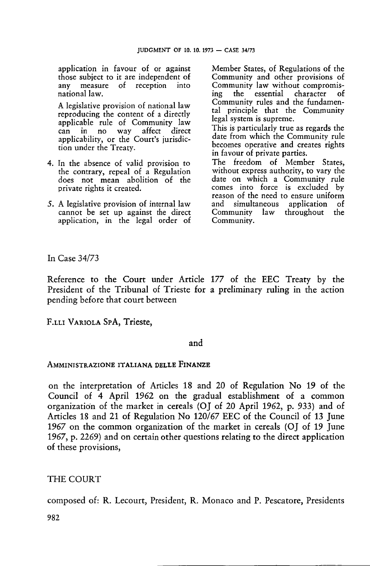application in favour of or against those subject to it are independent of<br>any measure of reception into of reception into national law.

A legislative provision of national law reproducing the content of <sup>a</sup> directly applicable rule of Community law can in no way affect direct applicability, or the Court's jurisdiction under the Treaty.

- 4. In the absence of valid provision to the contrary, repeal of a Regulation does not mean abolition of the private rights it created.
- 5. A legislative provision of internal law cannot be set up against the direct application, in the legal order of

Member States, of Regulations of the Community and other provisions of Community law without compromis-<br>ing the essential character of the essential Community rules and the fundamental principle that the Community legal system is supreme.

This is particularly true as regards the date from which the Community rule becomes operative and creates rights in favour of private parties.

The freedom of Member States, without express authority, to vary the date on which a Community rule comes into force is excluded by reason of the need to ensure uniform and simultaneous application of Community law Community.

In Case 34/73

Reference to the Court under Article 177 of the EEC Treaty by the President of the Tribunal of Trieste for a preliminary ruling in the action pending before that court between

F.LLI Variola SpA, Trieste,

### and

### AMMINISTRAZIONE ITALIANA DELLE FINANZE

on the interpretation of Articles 18 and 20 of Regulation No 19 of the Council of 4 April 1962 on the gradual establishment of a common organization of the market in cereals (OJ of 20 April 1962, p. 933) and of Articles 18 and 21 of Regulation No 120/67 EEC of the Council of 13 June 1967 on the common organization of the market in cereals (OJ of 19 June 1967, p. 2269) and on certain other questions relating to the direct application of these provisions,

## THE COURT

composed of: R. Lecourt, President, R. Monaco and P. Pescatore, Presidents

982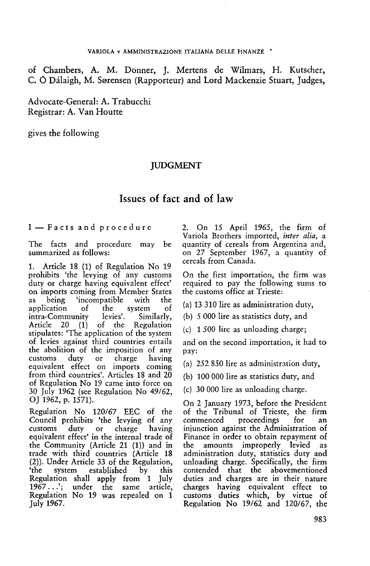of Chambers, A. M. Dormer, J. Mertens de Wilmars, H. Kutscher, C. Ó Dálaigh, M. Sørensen (Rapporteur) and Lord Mackenzie Stuart, Judges,

Advocate-General: A. Trabucchi Registrar: A. Van Houtte

gives the following

## **IUDGMENT**

# Issues of fact and of law

I — Facts and procedure

The facts and procedure may be summarized as follows:

1. Article 18 (1) of Regulation No 19 prohibits 'the levying of any customs duty or charge having equivalent effect' on imports coming from Member States as being 'incompatible with the application of the system of<br>intra-Community levies'. Similarly, intra-Community<br>Article 20 (1) of the Regulation stipulates: 'The application of the system of levies against third countries entails the abolition of the imposition of any<br>customs duty or charge having customs duty or charge having equivalent effect on imports coming from third countries'. Articles 18 and 20 of Regulation No 19 came into force on 30 July 1962 (see Regulation No 49/62, OJ 1962, p. 1571).

Regulation No 120/67 EEC of the Council prohibits 'the levying of any<br>customs duty or charge having duty or equivalent effect' in the internal trade of the Community (Article 21 (1)) and in trade with third countries (Article 18 (2)). Under Article 33 of the Regulation, established by this Regulation shall apply from <sup>1</sup> July 1967...'; under the same article, Regulation No 19 was repealed on <sup>1</sup> July 1967.

2. On 15 April 1965, the firm of Variola Brothers imported, *inter alia,* a quantity of cereals from Argentina and, on 27 September 1967, a quantity of cereals from Canada.

On the first importation, the firm was required to pay the following sums to the customs office at Trieste:

(a) 13 310 lire as administration duty,

(b) 5 000 lire as statistics duty, and

(c) <sup>1</sup> 500 lire as unloading charge;

and on the second importation, it had to pay:

(a) 252 850 lire as administration duty,

(b) 100 000 lire as statistics duty, and

(c) 30 000 lire as unloading charge.

On 2 January 1973, before the President of the Tribunal of Trieste, the firm commenced proceedings for an injunction against the Administration of Finance in order to obtain repayment of the amounts improperly levied as administration duty, statistics duty and unloading charge. Specifically, the firm contended that the abovementioned duties and charges are in their nature charges having equivalent effect to customs duties which, by virtue of Regulation No 19/62 and 120/67, the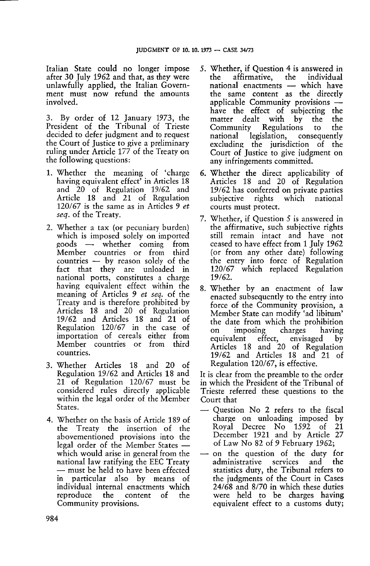Italian State could no longer impose after 30 July 1962 and that, as they were unlawfully applied, the Italian Government must now refund the amounts involved.

3. By order of 12 January 1973, the President of the Tribunal of Trieste decided to defer judgment and to request the Court of Justice to give a preliminary ruling under Article 177 of the Treaty on the following questions:

- 1. Whether the meaning of 'charge having equivalent effect<sup>7</sup> in Articles 18 and 20 of Regulation 19/62 and Article 18 and 21 of Regulation 120/67 is the same as in Articles 9 *et seq.* of the Treaty.
- 2. Whether a tax (or pecuniary burden) which is imposed solely on imported<br>goods  $\rightarrow$  whether coming from  $\cos \rightarrow \sin \theta$ Member countries or from third countries — by reason solely of the fact that they are unloaded in national ports, constitutes <sup>a</sup> charge having equivalent effect within the meaning of Articles 9 *et seq.* of the Treaty and is therefore prohibited by Articles 18 and 20 of Regulation 19/62 and Articles 18 and 21 of Regulation 120/67 in the case of importation of cereals either from Member countries or from third countries.
- 3. Whether Articles 18 and 20 of Regulation 19/62 and Articles 18 and 21 of Regulation 120/67 must be considered rules directly applicable within the legal order of the Member States.
- 4. Whether on the basis of Article 189 of the Treaty the insertion of the abovementioned provisions into the legal order of the Member States which would arise in general from the national law ratifying the EEC Treaty — must be held to have been effected in particular also by means of individual internal enactments which reproduce the content of the Community provisions.
- 5. Whether, if Question 4 is answered in affirmative, national enactments — which have the same content as the directly applicable Community provisions have the effect of subjecting the matter dealt with by the the Community Regulations to national legislation, consequently excluding the jurisdiction of the Court of Justice to give judgment on any infringements committed.
- 6. Whether the direct applicability of Articles 18 and 20 of Regulation 19/62 has conferred on private parties subjective rights which national courts must protect.
- 7. Whether, if Question <sup>5</sup> is answered in the affirmative, such subjective rights still remain intact and have not ceased to have effect from <sup>1</sup> July 1962 (or from any other date) following the entry into force of Regulation 120/67 which replaced Regulation 19/62.
- 8. Whether by an enactment of law enacted subsequently to the entry into force of the Community provision, a Member State can modify 'ad libitum' the date from which the prohibition on imposing charges having<br>equivalent effect, envisaged by effect, envisaged Articles 18 and 20 of Regulation 19/62 and Articles 18 and 21 of Regulation 120/67, is effective.

It is clear from the preamble to the order in which the President of the Tribunal of Trieste referred these questions to the Court that

- Question No 2 refers to the fiscal charge on unloading imposed by Royal Decree No 1592 of 21 December 1921 and by Article 27 of Law No 82 of 9 February 1962;
- on the question of the duty for<br>administrative services and the administrative statistics duty, the Tribunal refers to the judgments of the Court in Cases 24/68 and 8/70 in which these duties were held to be charges having equivalent effect to a customs duty;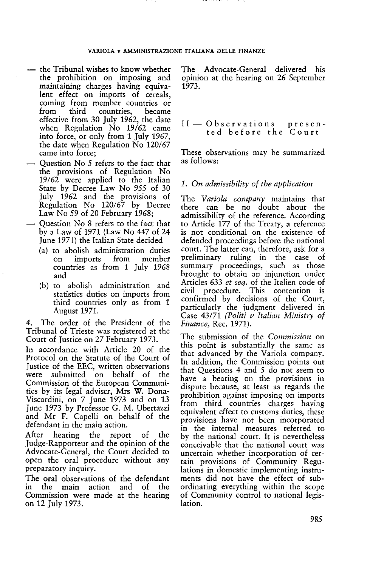- the Tribunal wishes to know whether the prohibition on imposing and maintaining charges having equivalent effect on imports of cereals, coming from member countries or<br>from third countries, became countries. effective from 30 July 1962, the date when Regulation No 19/62 came into force, or only from <sup>1</sup> July 1967, the date when Regulation No 120/67 came into force;
- Question No 5 refers to the fact that the provisions of Regulation No 19/62 were applied to the Italian State by Decree Law No 955 of 30 July 1962 and the provisions of Regulation No 120/67 by Decree Law No 59 of 20 February 1968;
- Question No <sup>8</sup> refers to the fact that by a Law of 1971 (Law No 447 of 24 June 1971) the Italian State decided
	- (a) to abolish administration duties on imports countries as from <sup>1</sup> July 1968 and
	- (b) to abolish administration and statistics duties on imports from third countries only as from <sup>1</sup> August 1971.

4. The order of the President of the Tribunal of Trieste was registered at the Court of Justice on 27 February 1973.

In accordance with Article 20 of the Protocol on the Statute of the Court of Justice of the EEC, written observations were submitted on behalf of the Commission of the European Communities by its legal adviser, Mrs W. Dona-Viscardini, on 7 June 1973 and on 13 June 1973 by Professor G. M. Ubertazzi and Mr F. Capelli on behalf of the defendant in the main action.

After hearing the report of the Judge-Rapporteur and the opinion of the Advocate-General, the Court decided to open the oral procedure without any preparatory inquiry.

The oral observations of the defendant in the main action and of the Commission were made at the hearing on 12 July 1973.

The Advocate-General delivered his opinion at the hearing on 26 September 1973.

### II — Observations presented before the Court

These observations may be summarized as follows:

### *1. On admissibility of the application*

The *Variola company* maintains that there can be no doubt about the admissibility of the reference. According to Article 177 of the Treaty, a reference is not conditional on the existence of defended proceedings before the national court. The latter can, therefore, ask for a<br>preliminary ruling in the case of ruling in the case summary proceedings, such as those brought to obtain an injunction under Articles 633 *et seq.* of the Italien code of civil procedure. This contention is confirmed by decisions of the Court, particularly the judgment delivered in Case 43/71 *(Politi <sup>v</sup> Italian Ministry of Finance,* Rec. 1971).

The submission of the *Commission* on this point is substantially the same as that advanced by the Variola company. In addition, the Commission points out that Questions 4 and 5 do not seem to have a bearing on the provisions in dispute because, at least as regards the prohibition against imposing on imports from third countries charges having equivalent effect to customs duties, these provisions have not been incorporated in the internal measures referred to by the national court. It is nevertheless conceivable that the national court was uncertain whether incorporation of certain provisions of Community Regulations in domestic implementing instruments did not have the effect of subordinating everything within the scope of Community control to national legislation.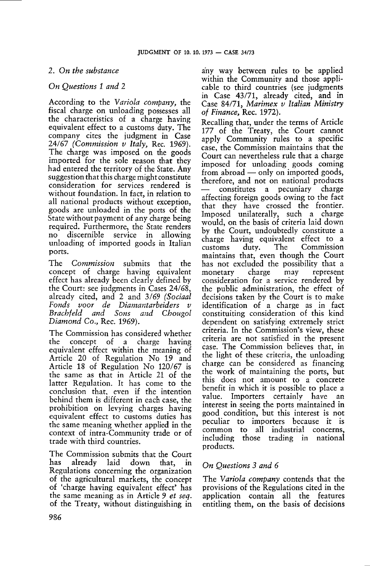## *2. On the substance*

## *On Questions 1 and 2*

According to the *Variola company,* the fiscal charge on unloading possesses all the characteristics of a charge having equivalent effect to a customs duty. The company cites the judgment in Case 24/67 *(Commission <sup>v</sup> Italy,* Rec. 1969). The charge was imposed on the goods imported for the sole reason that they had entered the territory of the State. Any suggestion that this charge might constitute consideration for services rendered is without foundation. In fact, in relation to all national products without exception, goods are unloaded in the ports of the State without payment of any charge being required. Furthermore, the State renders no discernible service in allowing unloading of imported goods in Italian ports.

The *Commission* submits that the concept of charge having equivalent effect has already been clearly defined by the Court: see judgments in Cases 24/68, already cited, and 2 and 3/69 *(Sociaal Fonds voor de Diamantarbeiders v Brachfeld and Sons and Chougol Diamond Co.,* Rec. 1969).

The Commission has considered whether the concept of <sup>a</sup> charge having equivalent effect within the meaning of Article 20 of Regulation No 19 and Article 18 of Regulation No 120/67 is the same as that in Article <sup>21</sup> of the latter Regulation. It has come to the conclusion that, even if the intention behind them is different in each case, the prohibition on levying charges having equivalent effect to customs duties has the same meaning whether applied in the context of intra-Community trade or of trade with third countries.

The Commission submits that the Court has already laid down that, in Regulations concerning the organization of the agricultural markets, the concept of 'charge having equivalent effect' has the same meaning as in Article 9 *et seq.* of the Treaty, without distinguishing in

any way between rules to be applied within the Community and those applicable to third countries (see judgments in Case 43/71, already cited, and in Case 84/71, *Marimex <sup>v</sup> Italian Ministry of Finance,* Rec. 1972).

Recalling that, under the terms of Article 177 of the Treaty, the Court cannot apply Community rules to a specific case, the Commission maintains that the Court can nevertheless rule that a charge imposed for unloading goods coming from abroad — only on imported goods, therefore, and not on national products — constitutes a pecuniary charge affecting foreign goods owing to the fact that they have crossed the frontier. Imposed unilaterally, such a charge would, on the basis of criteria laid down by the Court, undoubtedly constitute a charge having equivalent effect to a customs duty. The Commission maintains that, even though the Court has not excluded the possibility that a monetary charge may represent consideration for <sup>a</sup> service rendered by the public administration, the effect of decisions taken by the Court is to make identification of a charge as in fact constituiting consideration of this kind dependent on satisfying extremely strict criteria. In the Commission's view, these criteria are not satisfied in the present case. The Commission believes that, in the light of these criteria, the unloading charge can be considered as financing the work of maintaining the ports, but this does not amount to a concrete benefit in which it is possible to place <sup>a</sup> value. Importers certainly have an interest in seeing the ports maintained in good condition, but this interest is not peculiar to importers because it is common to all industrial concerns, including those trading in national products.

## *On Questions 3 and 6*

The *Variola company* contends that the provisions of the Regulations cited in the application contain all the features entitling them, on the basis of decisions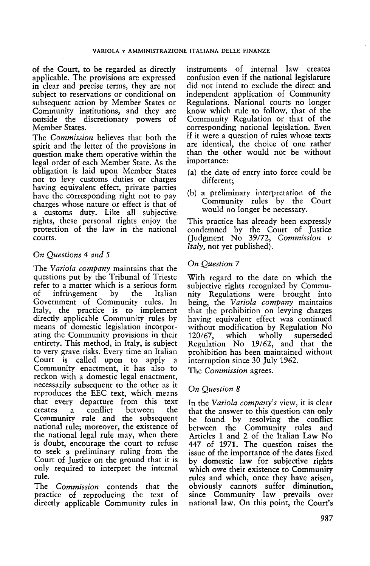of the Court, to be regarded as directly applicable. The provisions are expressed in clear and precise terms, they are not subject to reservations or conditional on subsequent action by Member States or Community institutions, and they are outside the discretionary powers of Member States.

The *Commission* believes that both the spirit and the letter of the provisions in question make them operative within the legal order of each Member State. As the obligation is laid upon Member States not to levy customs duties or charges having equivalent effect, private parties have the corresponding right not to pay charges whose nature or effect is that of a customs duty. Like all subjective rights, these personal rights enjoy the protection of the law in the national courts.

## *On Questions 4 and 5*

The *Variola company* maintains that the questions put by the Tribunal of Trieste refer to a matter which is a serious form of infringement by the Italian Government of Community rules. In Italy, the practice is to implement directly applicable Community rules by means of domestic legislation incorporating the Community provisions in their entirety. This method, in Italy, is subject to very grave risks. Every time an Italian Court is called upon to apply a Community enactment, it has also to reckon with a domestic legal enactment, necessarily subsequent to the other as it reproduces the EEC text, which means that every departure from this text a conflict between Community rule and the subsequent national rule; moreover, the existence of the national legal rule may, when there is doubt, encourage the court to refuse to seek a preliminary ruling from the Court of Justice on the ground that it is only required to interpret the internal rule.

The *Commission* contends that the practice of reproducing the text of directly applicable Community rules in instruments of internal law creates confusion even if the national legislature did not intend to exclude the direct and independent application of Community Regulations. National courts no longer know which rule to follow, that of the Community Regulation or that of the corresponding national legislation. Even if it were <sup>a</sup> question of rules whose texts are identical, the choice of one rather than the other would not be without importance:

- (a) the date of entry into force could be different;
- (b) a preliminary interpretation of the Community rules by the Court would no longer be necessary.

This practice has already been expressly condemned by the Court of Justice (Judgment No 39/72, *Commission <sup>v</sup> Italy,* not yet published).

### *On Question 7*

With regard to the date on which the subjective rights recognized by Community Regulations were brought into being, the *Variola company* maintains that the prohibition on levying charges having equivalent effect was continued without modification by Regulation No<br>120/67, which wholly superseded  $120/67$ , which wholly Regulation No 19/62, and that the prohibition has been maintained without interruption since 30 July 1962.

The *Commission* agrees.

## *On Question 8*

In the *Variola company's* view, it is clear that the answer to this question can only be found by resolving the conflict between the Community rules and Articles <sup>1</sup> and 2 of the Italian Law No 447 of 1971. The question raises the issue of the importance of the dates fixed by domestic law for subjective rights which owe their existence to Community rules and which, once they have arisen, obviously cannots suffer diminution, since Community law prevails over national law. On this point, the Court's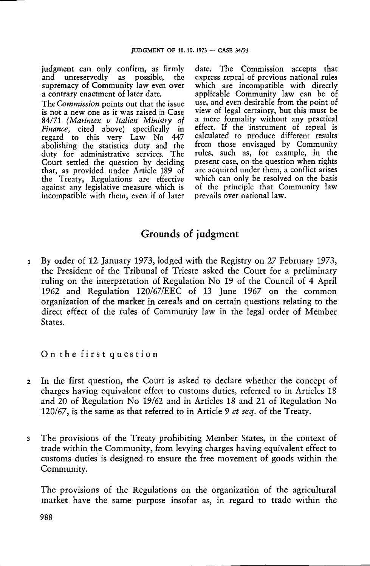judgment can only confirm, as firmly and unreservedly as possible, the supremacy of Community law even over a contrary enactment of later date.

The *Commission* points out that the issue is not <sup>a</sup> new one as it was raised in Case 84/71 *(Marimex <sup>v</sup> Italien Ministry of Finance,* cited above) specifically in regard to this very Law No 447 abolishing the statistics duty and the duty for administrative services. The Court settled the question by deciding that, as provided under Article 189 of the Treaty, Regulations are effective against any legislative measure which is incompatible with them, even if of later date. The Commission accepts that express repeal of previous national rules which are incompatible with directly applicable Community law can be of use, and even desirable from the point of view of legal certainty, but this must be <sup>a</sup> mere formality without any practical effect. If the instrument of repeal is calculated to produce different results from those envisaged by Community rules, such as, for example, in the present case, on the question when rights are acquired under them, a conflict arises which can only be resolved on the basis of the principle that Community law prevails over national law.

# Grounds of judgment

<sup>1</sup> By order of 12 January 1973, lodged with the Registry on 27 February 1973, the President of the Tribunal of Trieste asked the Court for <sup>a</sup> preliminary ruling on the interpretation of Regulation No 19 of the Council of 4 April 1962 and Regulation 120/67/EEC of 13 June 1967 on the common organization of the market in cereals and on certain questions relating to the direct effect of the rules of Community law in the legal order of Member States.

On the first question

- <sup>2</sup> In the first question, the Court is asked to declare whether the concept of charges having equivalent effect to customs duties, referred to in Articles 18 and 20 of Regulation No 19/62 and in Articles 18 and 21 of Regulation No 120/67, is the same as that referred to in Article 9 *et seq.* of the Treaty.
- <sup>3</sup> The provisions of the Treaty prohibiting Member States, in the context of trade within the Community, from levying charges having equivalent effect to customs duties is designed to ensure the free movement of goods within the Community.

The provisions of the Regulations on the organization of the agricultural market have the same purpose insofar as, in regard to trade within the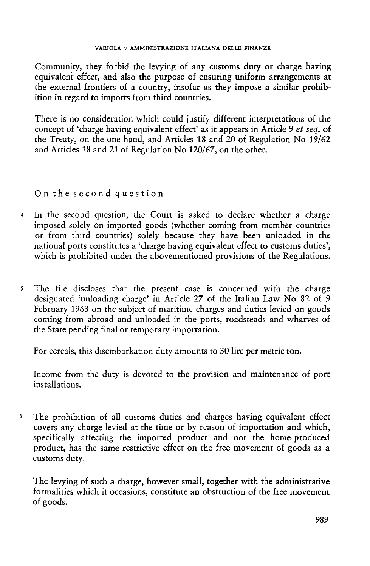Community, they forbid the levying of any customs duty or charge having equivalent effect, and also the purpose of ensuring uniform arrangements at the external frontiers of a country, insofar as they impose a similar prohibition in regard to imports from third countries.

There is no consideration which could justify different interpretations of the concept of 'charge having equivalent effect' as it appears in Article <sup>9</sup> *et seq.* of the Treaty, on the one hand, and Articles 18 and 20 of Regulation No 19/62 and Articles 18 and 21 of Regulation No 120/67, on the other.

# On the second question

- <sup>4</sup> In the second question, the Court is asked to declare whether a charge imposed solely on imported goods (whether coming from member countries or from third countries) solely because they have been unloaded in the national ports constitutes a 'charge having equivalent effect to customs duties', which is prohibited under the abovementioned provisions of the Regulations.
- *<sup>5</sup>* The file discloses that the present case is concerned with the charge designated 'unloading charge' in Article 27 of the Italian Law No 82 of 9 February 1963 on the subject of maritime charges and duties levied on goods coming from abroad and unloaded in the ports, roadsteads and wharves of the State pending final or temporary importation.

For cereals, this disembarkation duty amounts to 30 lire per metric ton.

Income from the duty is devoted to the provision and maintenance of port installations.

<sup>6</sup> The prohibition of all customs duties and charges having equivalent effect covers any charge levied at the time or by reason of importation and which, specifically affecting the imported product and not the home-produced product, has the same restrictive effect on the free movement of goods as a customs duty.

The levying of such a charge, however small, together with the administrative formalities which it occasions, constitute an obstruction of the free movement of goods.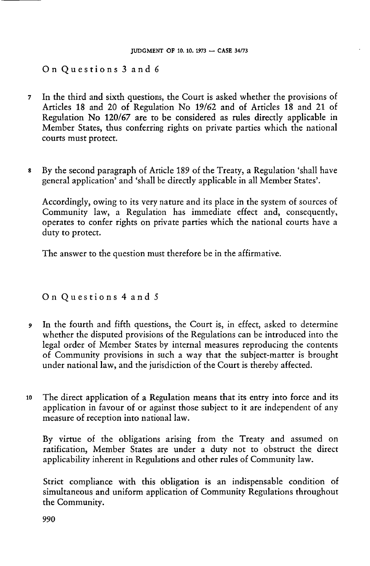On Questions <sup>3</sup> and <sup>6</sup>

- <sup>7</sup> In the third and sixth questions, the Court is asked whether the provisions of Articles 18 and 20 of Regulation No 19/62 and of Articles 18 and 21 of Regulation No 120/67 are to be considered as rules directly applicable in Member States, thus conferring rights on private parties which the national courts must protect.
- <sup>8</sup> By the second paragraph of Article 189 of the Treaty, a Regulation 'shall have general application' and 'shall be directly applicable in all Member States'.

Accordingly, owing to its very nature and its place in the system of sources of Community law, a Regulation has immediate effect and, consequently, operates to confer rights on private parties which the national courts have a duty to protect.

The answer to the question must therefore be in the affirmative.

On Questions <sup>4</sup> and <sup>5</sup>

- <sup>9</sup> In the fourth and fifth questions, the Court is, in effect, asked to determine whether the disputed provisions of the Regulations can be introduced into the legal order of Member States by internal measures reproducing the contents of Community provisions in such a way that the subject-matter is brought under national law, and the jurisdiction of the Court is thereby affected.
- <sup>10</sup> The direct application of a Regulation means that its entry into force and its application in favour of or against those subject to it are independent of any measure of reception into national law.

By virtue of the obligations arising from the Treaty and assumed on ratification, Member States are under <sup>a</sup> duty not to obstruct the direct applicability inherent in Regulations and other rules of Community law.

Strict compliance with this obligation is an indispensable condition of simultaneous and uniform application of Community Regulations throughout the Community.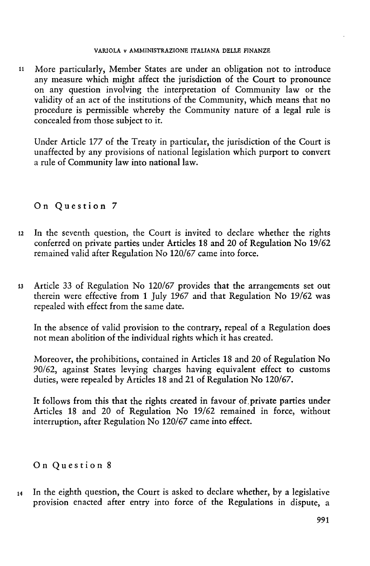### VARIOLA v AMMINISTRAZIONE ITALIANA DELLE FINANZE

<sup>11</sup> More particularly, Member States are under an obligation not to introduce any measure which might affect the jurisdiction of the Court to pronounce on any question involving the interpretation of Community law or the validity of an act of the institutions of the Community, which means that no procedure is permissible whereby the Community nature of a legal rule is concealed from those subject to it.

Under Article 177 of the Treaty in particular, the jurisdiction of the Court is unaffected by any provisions of national legislation which purport to convert a rule of Community law into national law.

# On Question <sup>7</sup>

- <sup>12</sup> In the seventh question, the Court is invited to declare whether the rights conferred on private parties under Articles 18 and 20 of Regulation No 19/62 remained valid after Regulation No 120/67 came into force.
- <sup>13</sup> Article 33 of Regulation No 120/67 provides that the arrangements set out therein were effective from <sup>1</sup> July 1967 and that Regulation No 19/62 was repealed with effect from the same date.

In the absence of valid provision to the contrary, repeal of a Regulation does not mean abolition of the individual rights which it has created.

Moreover, the prohibitions, contained in Articles 18 and 20 of Regulation No 90/62, against States levying charges having equivalent effect to customs duties, were repealed by Articles 18 and 21 of Regulation No 120/67.

It follows from this that the rights created in favour of private parties under Articles 18 and 20 of Regulation No 19/62 remained in force, without interruption, after Regulation No 120/67 came into effect.

# On Question <sup>8</sup>

 $14$  In the eighth question, the Court is asked to declare whether, by a legislative provision enacted after entry into force of the Regulations in dispute, <sup>a</sup>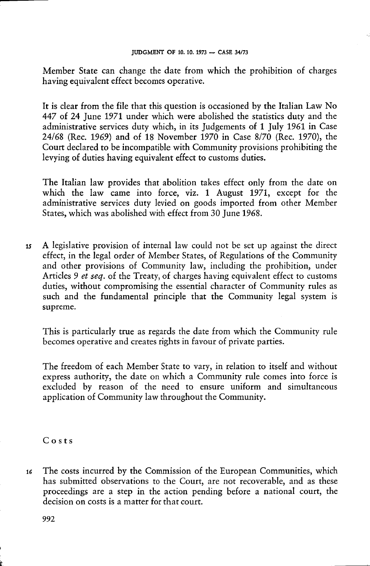Member State can change the date from which the prohibition of charges having equivalent effect becomes operative.

It is clear from the file that this question is occasioned by the Italian Law No 447 of 24 June 1971 under which were abolished the statistics duty and the administrative services duty which, in its Judgements of <sup>1</sup> July 1961 in Case 24/68 (Rec. 1969) and of 18 November 1970 in Case 8/70 (Rec. 1970), the Court declared to be incompatible with Community provisions prohibiting the levying of duties having equivalent effect to customs duties.

The Italian law provides that abolition takes effect only from the date on which the law came into force, viz. <sup>1</sup> August 1971, except for the administrative services duty levied on goods imported from other Member States, which was abolished with effect from 30 June 1968.

<sup>15</sup> A legislative provision of internal law could not be set up against the direct effect, in the legal order of Member States, of Regulations of the Community and other provisions of Community law, including the prohibition, under Articles 9 *et seq.* of the Treaty, of charges having equivalent effect to customs duties, without compromising the essential character of Community rules as such and the fundamental principle that the Community legal system is supreme.

This is particularly true as regards the date from which the Community rule becomes operative and creates rights in favour of private parties.

The freedom of each Member State to vary, in relation to itself and without express authority, the date on which a Community rule comes into force is excluded by reason of the need to ensure uniform and simultaneous application of Community law throughout the Community.

Costs

<sup>16</sup> The costs incurred by the Commission of the European Communities, which has submitted observations to the Court, are not recoverable, and as these proceedings are a step in the action pending before a national court, the decision on costs is a matter for that court.

992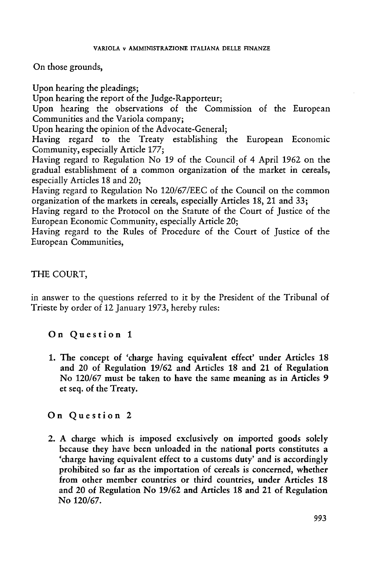On those grounds,

Upon hearing the pleadings; Upon hearing the report of the Judge-Rapporteur; Upon hearing the observations of the Commission of the European Communities and the Variola company; Upon hearing the opinion of the Advocate-General; Having regard to the Treaty establishing the European Economic Community, especially Article 177; Having regard to Regulation No 19 of the Council of 4 April 1962 on the gradual establishment of a common organization of the market in cereals, especially Articles 18 and 20; Having regard to Regulation No 120/67/EEC of the Council on the common organization of the markets in cereals, especially Articles 18, 21 and 33; Having regard to the Protocol on the Statute of the Court of Justice of the European Economic Community, especially Article 20;

Having regard to the Rules of Procedure of the Court of Justice of the European Communities,

# THE COURT,

in answer to the questions referred to it by the President of the Tribunal of Trieste by order of 12 January 1973, hereby rules:

## On Question <sup>1</sup>

1. The concept of 'charge having equivalent effect' under Articles 18 and 20 of Regulation 19/62 and Articles 18 and 21 of Regulation No 120/67 must be taken to have the same meaning as in Articles 9 et seq. of the Treaty.

## On Question <sup>2</sup>

2. A charge which is imposed exclusively on imported goods solely because they have been unloaded in the national ports constitutes a 'charge having equivalent effect to a customs duty' and is accordingly prohibited so far as the importation of cereals is concerned, whether from other member countries or third countries, under Articles 18 and 20 of Regulation No 19/62 and Articles 18 and 21 of Regulation No 120/67.